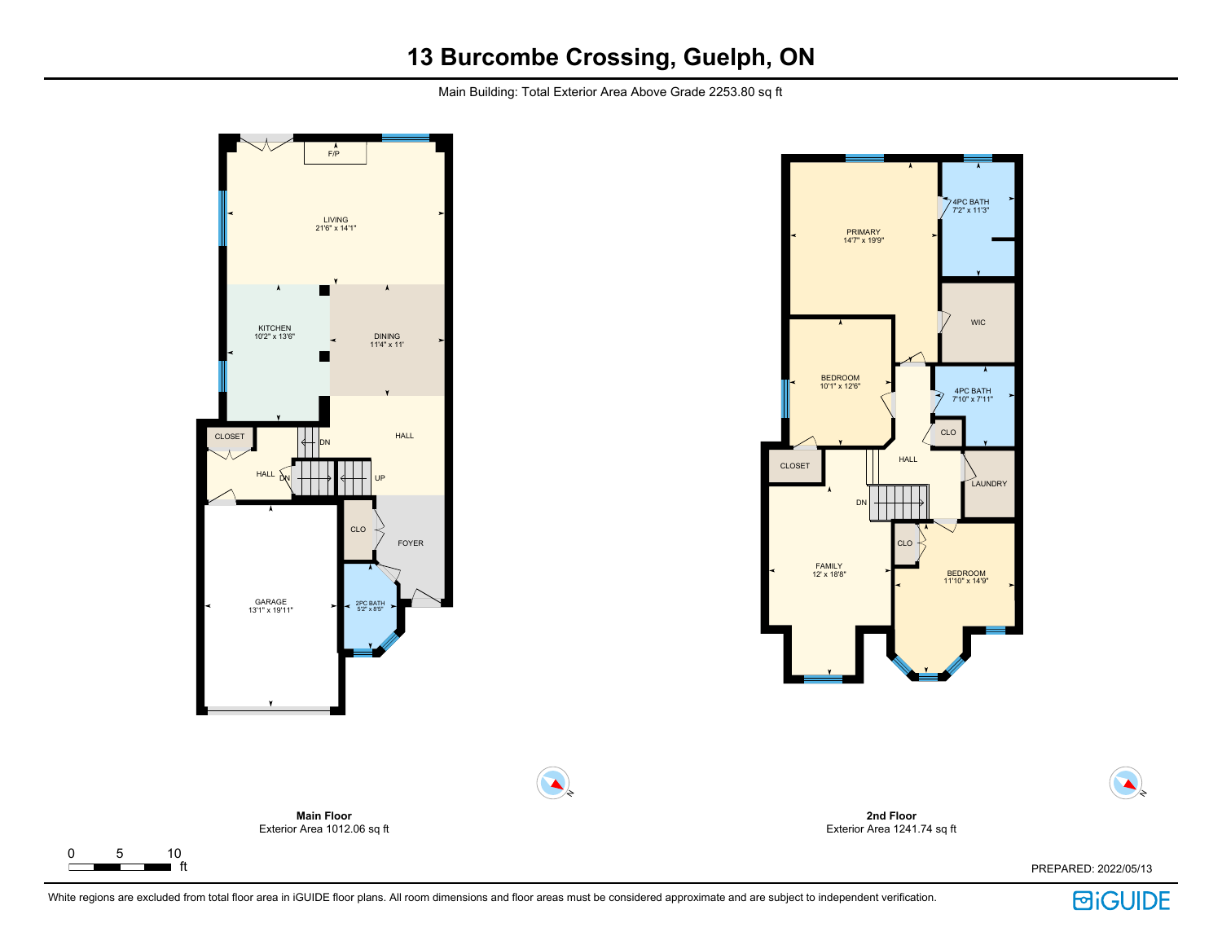Main Building: Total Exterior Area Above Grade 2253.80 sq ft



 $\Gamma$ 



N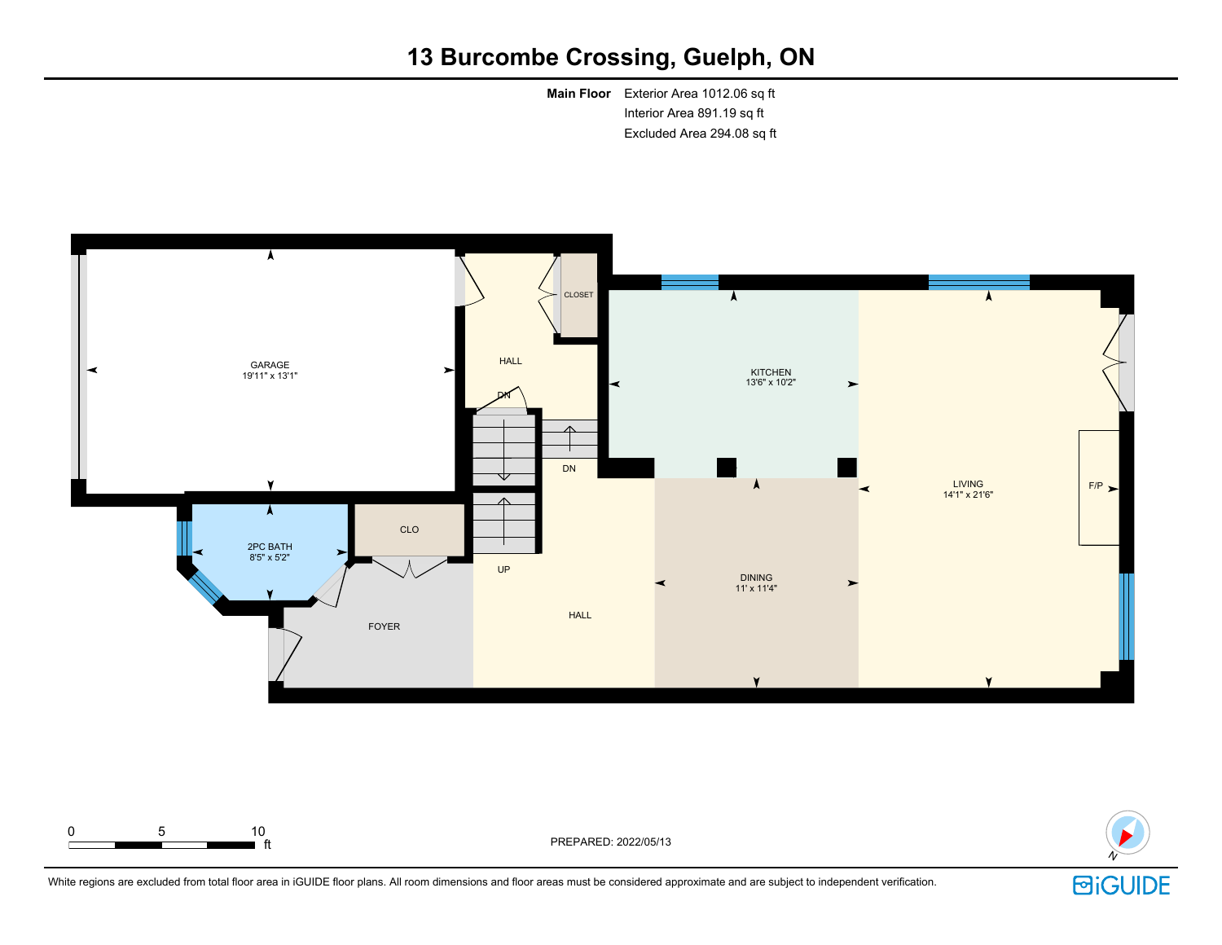**Main Floor** Exterior Area 1012.06 sq ft Interior Area 891.19 sq ft Excluded Area 294.08 sq ft





White regions are excluded from total floor area in iGUIDE floor plans. All room dimensions and floor areas must be considered approximate and are subject to independent verification.

ft PREPARED: 2022/05/13

0 5 10

**BiGUIDE**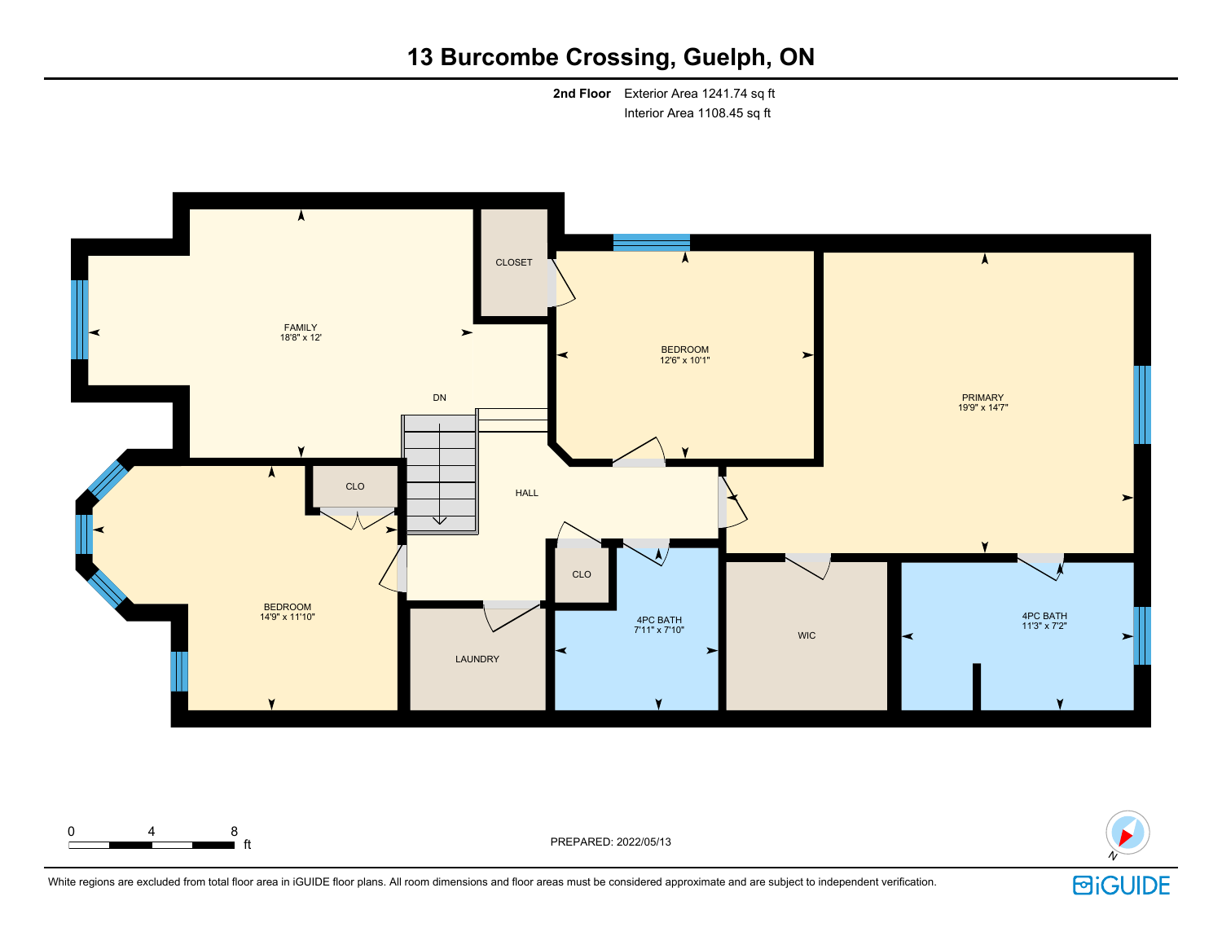**2nd Floor** Exterior Area 1241.74 sq ft Interior Area 1108.45 sq ft





White regions are excluded from total floor area in iGUIDE floor plans. All room dimensions and floor areas must be considered approximate and are subject to independent verification.

**d** ft **reduced** to the produced to the PREPARED: 2022/05/13

0 4 8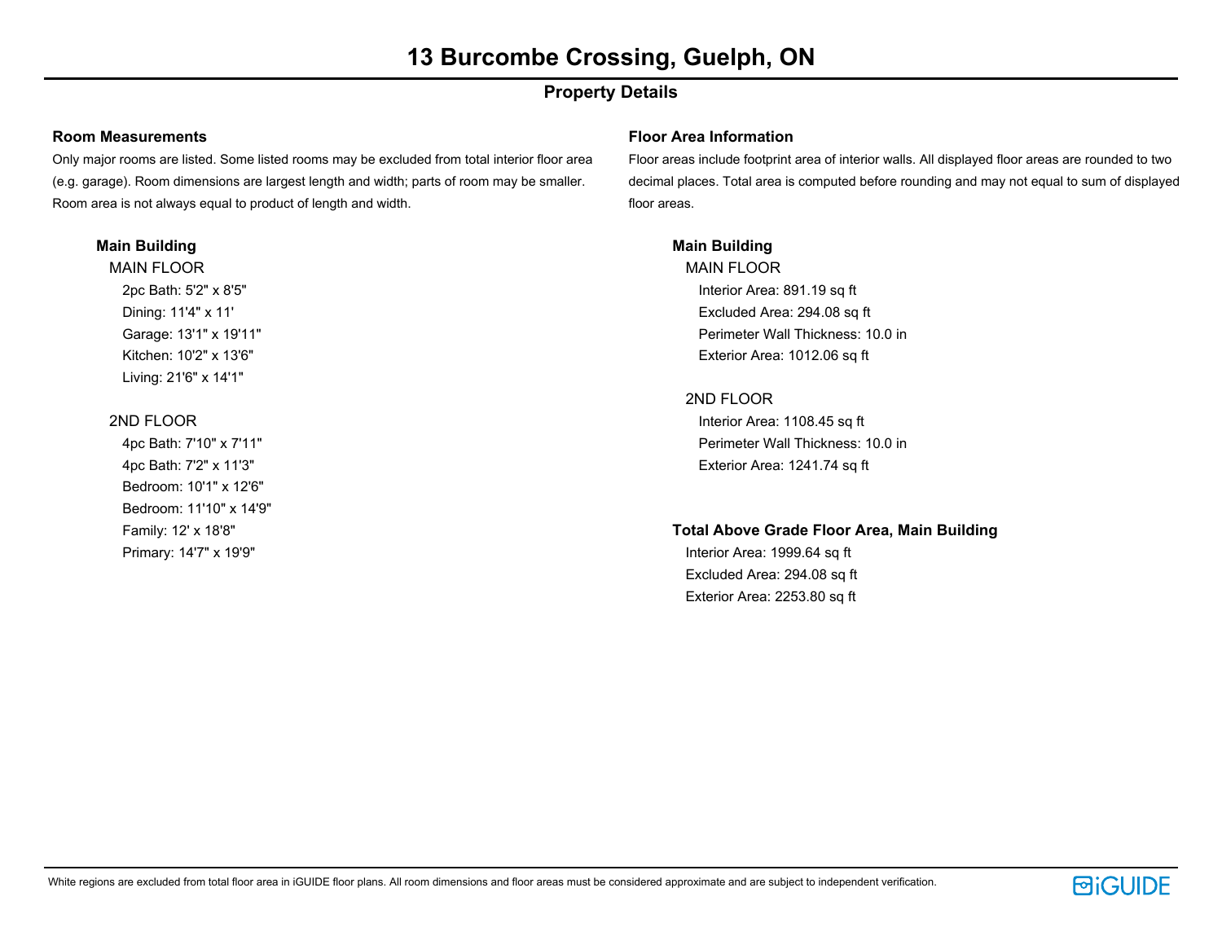# **Property Details**

### **Room Measurements**

Only major rooms are listed. Some listed rooms may be excluded from total interior floor area (e.g. garage). Room dimensions are largest length and width; parts of room may be smaller. Room area is not always equal to product of length and width.

### **Main Building**

MAIN FLOOR 2pc Bath: 5'2" x 8'5" Dining: 11'4" x 11' Garage: 13'1" x 19'11" Kitchen: 10'2" x 13'6" Living: 21'6" x 14'1"

### 2ND FLOOR

4pc Bath: 7'10" x 7'11" 4pc Bath: 7'2" x 11'3" Bedroom: 10'1" x 12'6" Bedroom: 11'10" x 14'9" Family: 12' x 18'8" Primary: 14'7" x 19'9"

### **Floor Area Information**

Floor areas include footprint area of interior walls. All displayed floor areas are rounded to two decimal places. Total area is computed before rounding and may not equal to sum of displayed floor areas.

### **Main Building**

MAIN FLOOR Interior Area: 891.19 sq ft Excluded Area: 294.08 sq ft Perimeter Wall Thickness: 10.0 in Exterior Area: 1012.06 sq ft

## 2ND FLOOR

Interior Area: 1108.45 sq ft Perimeter Wall Thickness: 10.0 in Exterior Area: 1241.74 sq ft

### **Total Above Grade Floor Area, Main Building**

Interior Area: 1999.64 sq ft Excluded Area: 294.08 sq ft Exterior Area: 2253.80 sq ft